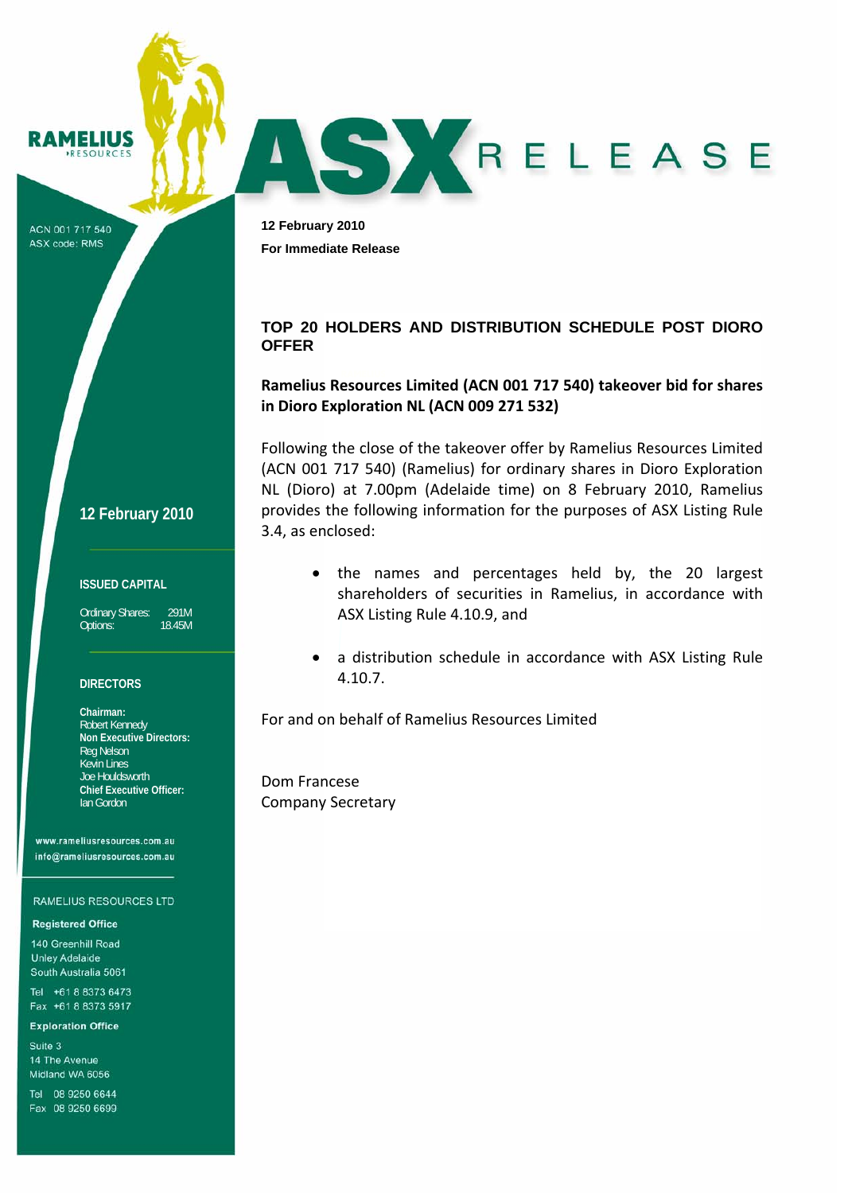**AMELIUS ESOURCES** 

ACN 001 717 540 ASX code: RMS

**12 February 2010 For Immediate Release** 

# **TOP 20 HOLDERS AND DISTRIBUTION SCHEDULE POST DIORO OFFER**

AS KRELEASE

# **Ramelius Resources Limited (ACN 001 717 540) takeover bid for shares in Dioro Exploration NL (ACN 009 271 532)**

Following the close of the takeover offer by Ramelius Resources Limited (ACN 001 717 540) (Ramelius) for ordinary shares in Dioro Exploration NL (Dioro) at 7.00pm (Adelaide time) on 8 February 2010, Ramelius provides the following information for the purposes of ASX Listing Rule 3.4, as enclosed:

**12 February 2010**

### **ISSUED CAPITAL**

Ordinary Shares: 291M<br>Options: 1845M Options:

#### **DIRECTORS**

**Chairman:**  Robert Kennedy **Non Executive Directors:**  Reg Nelson Kevin Lines Joe Houldsworth **Chief Executive Officer:**  Ian Gordon

www.rameliusresources.com.au info@rameliusresources.com.au

#### **RAMELIUS RESOURCES LTD**

#### **Registered Office**

140 Greenhill Road **Unley Adelaide** South Australia 5061

Tel +61 8 8373 6473 Fax +61 8 8373 5917

#### **Exploration Office**

Suite 3 14 The Avenue Midland WA 6056

Tel 08 9250 6644 Fax 08 9250 6699

- the names and percentages held by, the 20 largest shareholders of securities in Ramelius, in accordance with ASX Listing Rule 4.10.9, and
- a distribution schedule in accordance with ASX Listing Rule 4.10.7.

For and on behalf of Ramelius Resources Limited

Dom Francese Company Secretary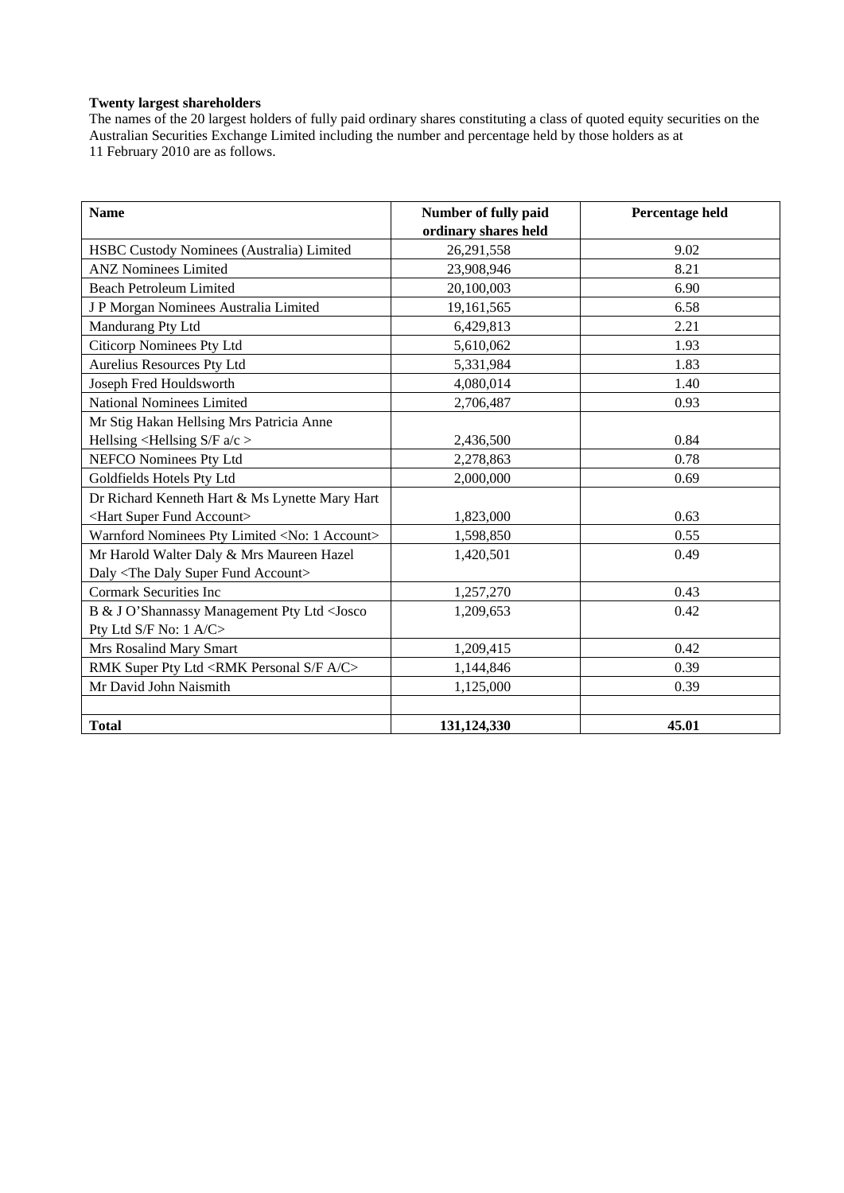### **Twenty largest shareholders**

The names of the 20 largest holders of fully paid ordinary shares constituting a class of quoted equity securities on the Australian Securities Exchange Limited including the number and percentage held by those holders as at 11 February 2010 are as follows.

| <b>Name</b>                                                                                 | Number of fully paid | Percentage held |
|---------------------------------------------------------------------------------------------|----------------------|-----------------|
|                                                                                             | ordinary shares held |                 |
| HSBC Custody Nominees (Australia) Limited                                                   | 26,291,558           | 9.02            |
| <b>ANZ Nominees Limited</b>                                                                 | 23,908,946           | 8.21            |
| <b>Beach Petroleum Limited</b>                                                              | 20,100,003           | 6.90            |
| J P Morgan Nominees Australia Limited                                                       | 19,161,565           | 6.58            |
| Mandurang Pty Ltd                                                                           | 6,429,813            | 2.21            |
| <b>Citicorp Nominees Pty Ltd</b>                                                            | 5,610,062            | 1.93            |
| Aurelius Resources Pty Ltd                                                                  | 5,331,984            | 1.83            |
| Joseph Fred Houldsworth                                                                     | 4,080,014            | 1.40            |
| <b>National Nominees Limited</b>                                                            | 2,706,487            | 0.93            |
| Mr Stig Hakan Hellsing Mrs Patricia Anne                                                    |                      |                 |
| Hellsing $\leq$ Hellsing S/F a/c $>$                                                        | 2,436,500            | 0.84            |
| NEFCO Nominees Pty Ltd                                                                      | 2,278,863            | 0.78            |
| Goldfields Hotels Pty Ltd                                                                   | 2,000,000            | 0.69            |
| Dr Richard Kenneth Hart & Ms Lynette Mary Hart                                              |                      |                 |
| <hart account="" fund="" super=""></hart>                                                   | 1,823,000            | 0.63            |
| Warnford Nominees Pty Limited <no: 1="" account=""></no:>                                   | 1,598,850            | 0.55            |
| Mr Harold Walter Daly & Mrs Maureen Hazel                                                   | 1,420,501            | 0.49            |
| Daly <the account="" daly="" fund="" super=""></the>                                        |                      |                 |
| <b>Cormark Securities Inc</b>                                                               | 1,257,270            | 0.43            |
| B & J O'Shannassy Management Pty Ltd <josco< td=""><td>1,209,653</td><td>0.42</td></josco<> | 1,209,653            | 0.42            |
| Pty Ltd S/F No: 1 A/C>                                                                      |                      |                 |
| Mrs Rosalind Mary Smart                                                                     | 1,209,415            | 0.42            |
| RMK Super Pty Ltd <rmk a="" c="" f="" personal="" s=""></rmk>                               | 1,144,846            | 0.39            |
| Mr David John Naismith                                                                      | 1,125,000            | 0.39            |
|                                                                                             |                      |                 |
| <b>Total</b>                                                                                | 131,124,330          | 45.01           |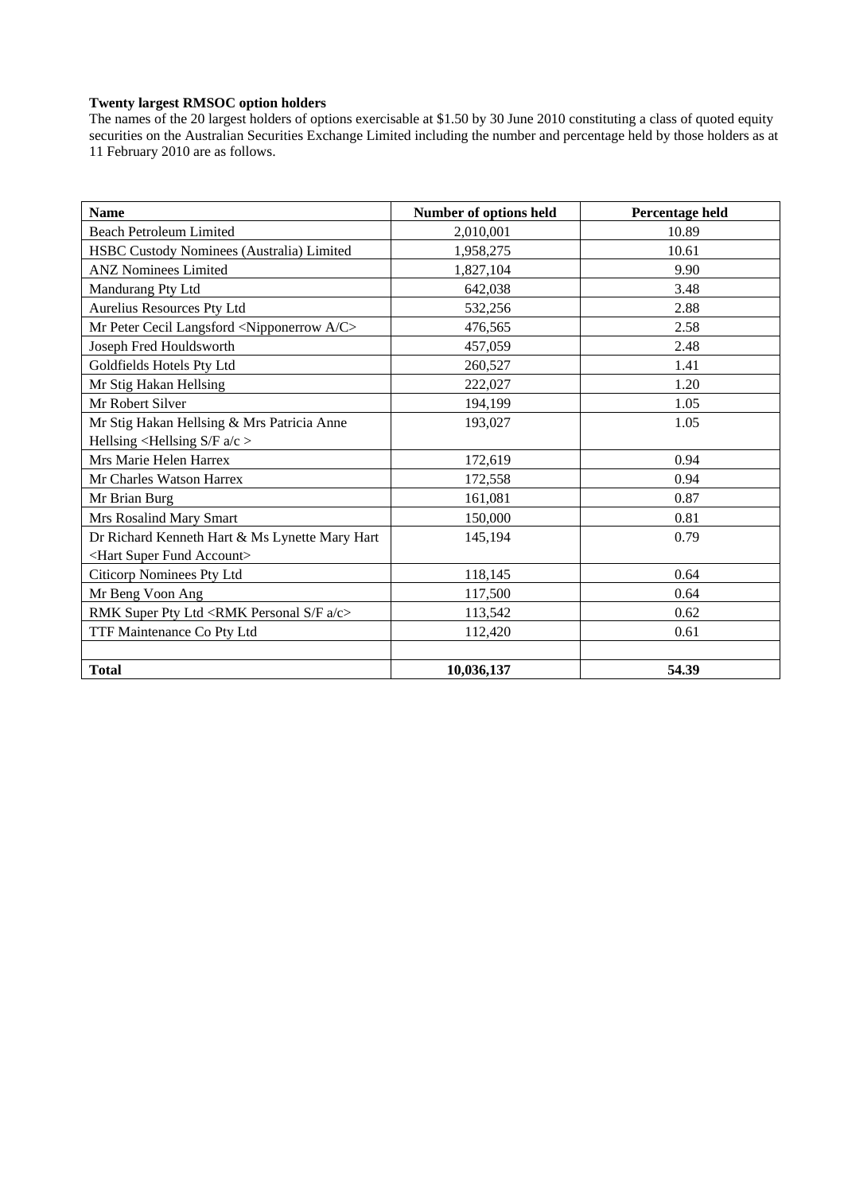### **Twenty largest RMSOC option holders**

The names of the 20 largest holders of options exercisable at \$1.50 by 30 June 2010 constituting a class of quoted equity securities on the Australian Securities Exchange Limited including the number and percentage held by those holders as at 11 February 2010 are as follows.

| <b>Name</b>                                                    | Number of options held | Percentage held |
|----------------------------------------------------------------|------------------------|-----------------|
| <b>Beach Petroleum Limited</b>                                 | 2,010,001              | 10.89           |
| HSBC Custody Nominees (Australia) Limited                      | 1,958,275              | 10.61           |
| <b>ANZ Nominees Limited</b>                                    | 1,827,104              | 9.90            |
| Mandurang Pty Ltd                                              | 642,038                | 3.48            |
| Aurelius Resources Pty Ltd                                     | 532,256                | 2.88            |
| Mr Peter Cecil Langsford <nipponerrow a="" c=""></nipponerrow> | 476,565                | 2.58            |
| Joseph Fred Houldsworth                                        | 457,059                | 2.48            |
| Goldfields Hotels Pty Ltd                                      | 260,527                | 1.41            |
| Mr Stig Hakan Hellsing                                         | 222,027                | 1.20            |
| Mr Robert Silver                                               | 194,199                | 1.05            |
| Mr Stig Hakan Hellsing & Mrs Patricia Anne                     | 193,027                | 1.05            |
| Hellsing <hellsing <math="">S/F a/c &gt;</hellsing>            |                        |                 |
| Mrs Marie Helen Harrex                                         | 172,619                | 0.94            |
| Mr Charles Watson Harrex                                       | 172,558                | 0.94            |
| Mr Brian Burg                                                  | 161,081                | 0.87            |
| Mrs Rosalind Mary Smart                                        | 150,000                | 0.81            |
| Dr Richard Kenneth Hart & Ms Lynette Mary Hart                 | 145,194                | 0.79            |
| <hart account="" fund="" super=""></hart>                      |                        |                 |
| Citicorp Nominees Pty Ltd                                      | 118,145                | 0.64            |
| Mr Beng Voon Ang                                               | 117,500                | 0.64            |
| RMK Super Pty Ltd <rmk a="" c="" f="" personal="" s=""></rmk>  | 113,542                | 0.62            |
| TTF Maintenance Co Pty Ltd                                     | 112,420                | 0.61            |
|                                                                |                        |                 |
| <b>Total</b>                                                   | 10,036,137             | 54.39           |